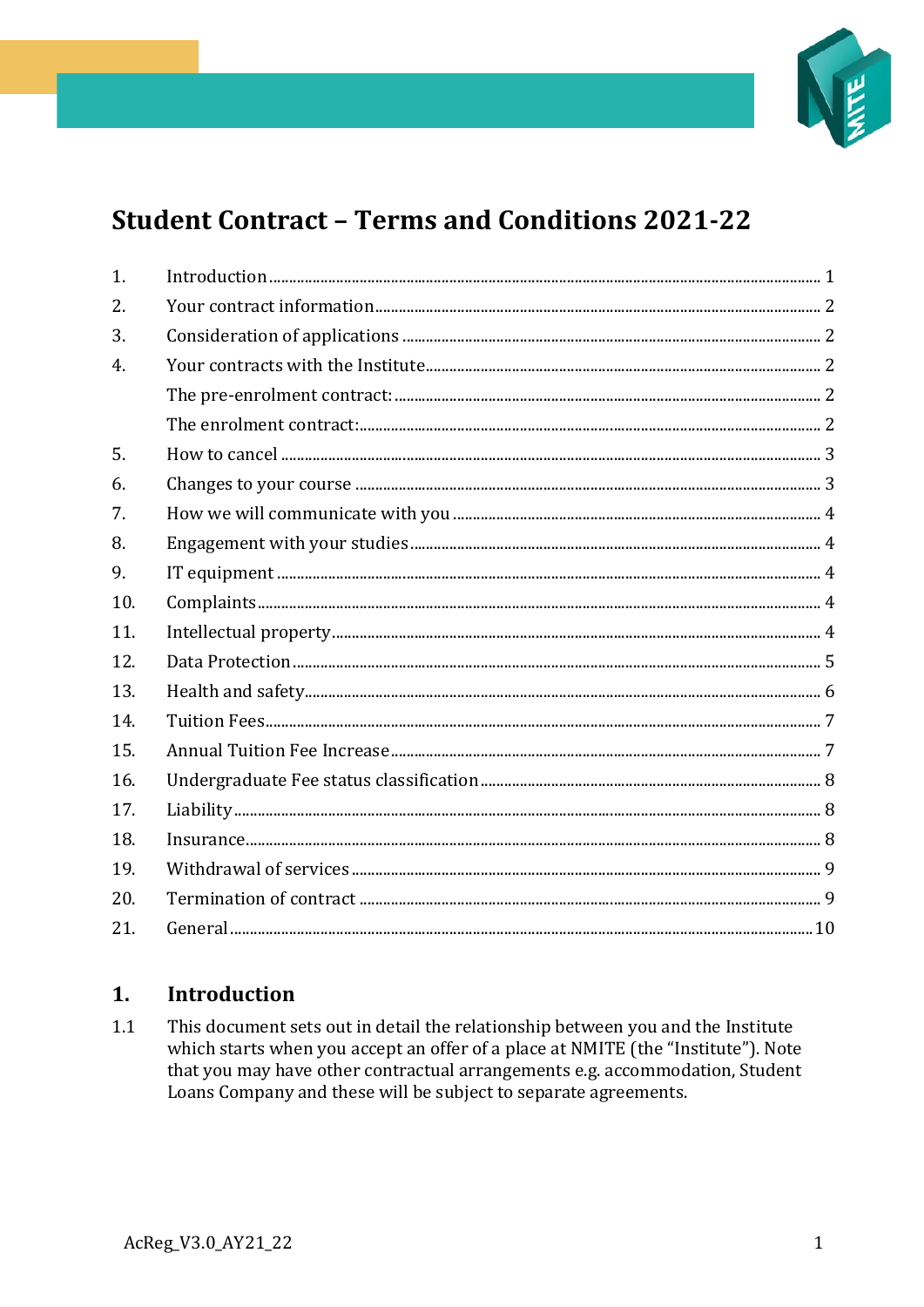

# **Student Contract - Terms and Conditions 2021-22**

| 1.  |  |
|-----|--|
| 2.  |  |
| 3.  |  |
| 4.  |  |
|     |  |
|     |  |
| 5.  |  |
| 6.  |  |
| 7.  |  |
| 8.  |  |
| 9.  |  |
| 10. |  |
| 11. |  |
| 12. |  |
| 13. |  |
| 14. |  |
| 15. |  |
| 16. |  |
| 17. |  |
| 18. |  |
| 19. |  |
| 20. |  |
| 21. |  |

#### <span id="page-0-0"></span> $1<sub>1</sub>$ **Introduction**

 $1.1$ This document sets out in detail the relationship between you and the Institute which starts when you accept an offer of a place at NMITE (the "Institute"). Note that you may have other contractual arrangements e.g. accommodation, Student Loans Company and these will be subject to separate agreements.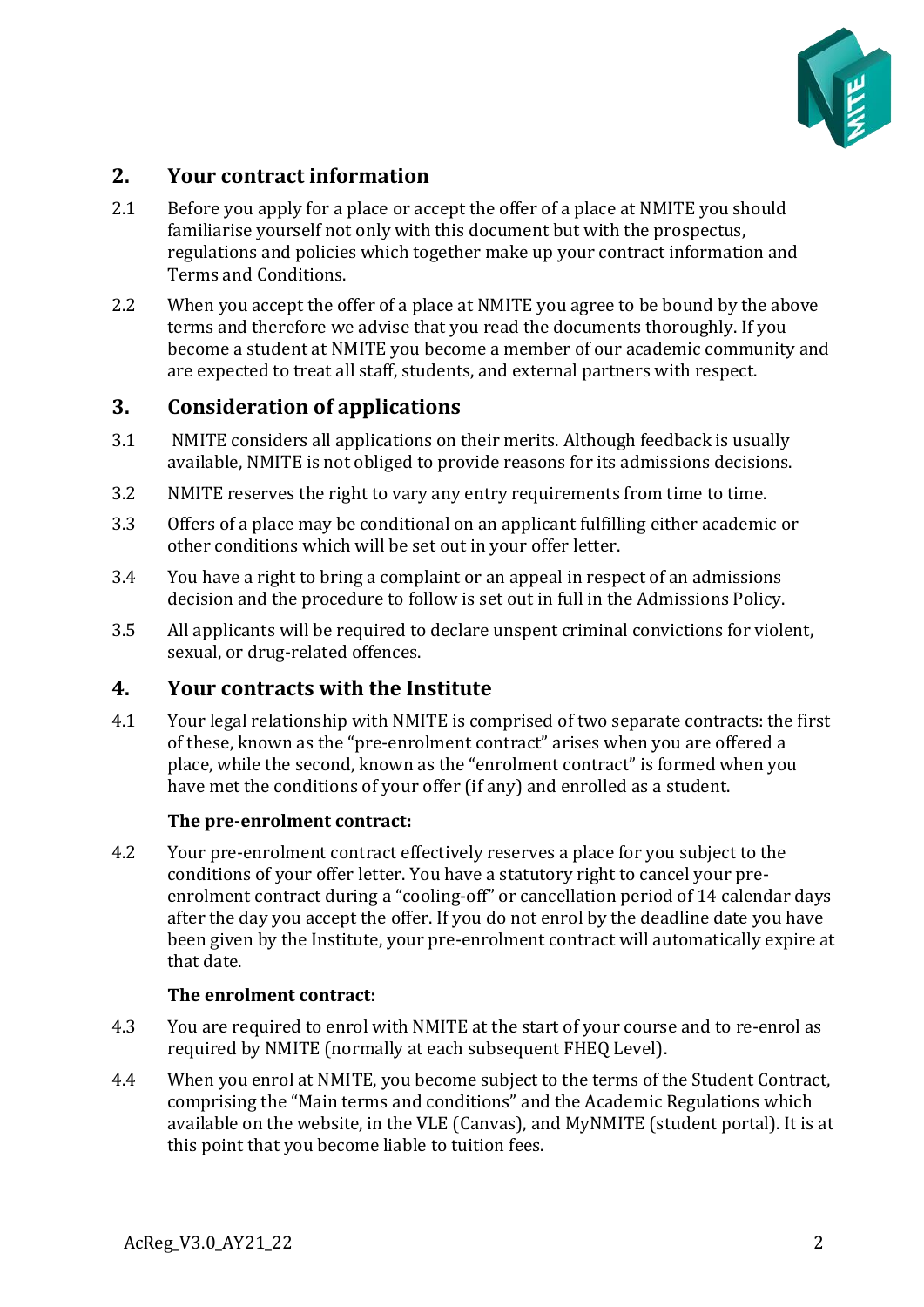

## <span id="page-1-0"></span>**2. Your contract information**

- <span id="page-1-1"></span>2.1 Before you apply for a place or accept the offer of a place at NMITE you should familiarise yourself not only with this document but with the prospectus, regulations and policies which together make up your contract information and Terms and Conditions.
- 2.2 When you accept the offer of a place at NMITE you agree to be bound by the above terms and therefore we advise that you read the documents thoroughly. If you become a student at NMITE you become a member of our academic community and are expected to treat all staff, students, and external partners with respect.

#### **3. Consideration of applications**

- <span id="page-1-2"></span>3.1 NMITE considers all applications on their merits. Although feedback is usually available, NMITE is not obliged to provide reasons for its admissions decisions.
- 3.2 NMITE reserves the right to vary any entry requirements from time to time.
- 3.3 Offers of a place may be conditional on an applicant fulfilling either academic or other conditions which will be set out in your offer letter.
- 3.4 You have a right to bring a complaint or an appeal in respect of an admissions decision and the procedure to follow is set out in full in the Admissions Policy.
- 3.5 All applicants will be required to declare unspent criminal convictions for violent, sexual, or drug-related offences.

#### **4. Your contracts with the Institute**

4.1 Your legal relationship with NMITE is comprised of two separate contracts: the first of these, known as the "pre-enrolment contract" arises when you are offered a place, while the second, known as the "enrolment contract" is formed when you have met the conditions of your offer (if any) and enrolled as a student.

#### **The pre-enrolment contract:**

<span id="page-1-3"></span>4.2 Your pre-enrolment contract effectively reserves a place for you subject to the conditions of your offer letter. You have a statutory right to cancel your preenrolment contract during a "cooling-off" or cancellation period of 14 calendar days after the day you accept the offer. If you do not enrol by the deadline date you have been given by the Institute, your pre-enrolment contract will automatically expire at that date.

#### **The enrolment contract:**

- <span id="page-1-4"></span>4.3 You are required to enrol with NMITE at the start of your course and to re-enrol as required by NMITE (normally at each subsequent FHEQ Level).
- 4.4 When you enrol at NMITE, you become subject to the terms of the Student Contract, comprising the "Main terms and conditions" and the Academic Regulations which available on the website, in the VLE (Canvas), and MyNMITE (student portal). It is at this point that you become liable to tuition fees.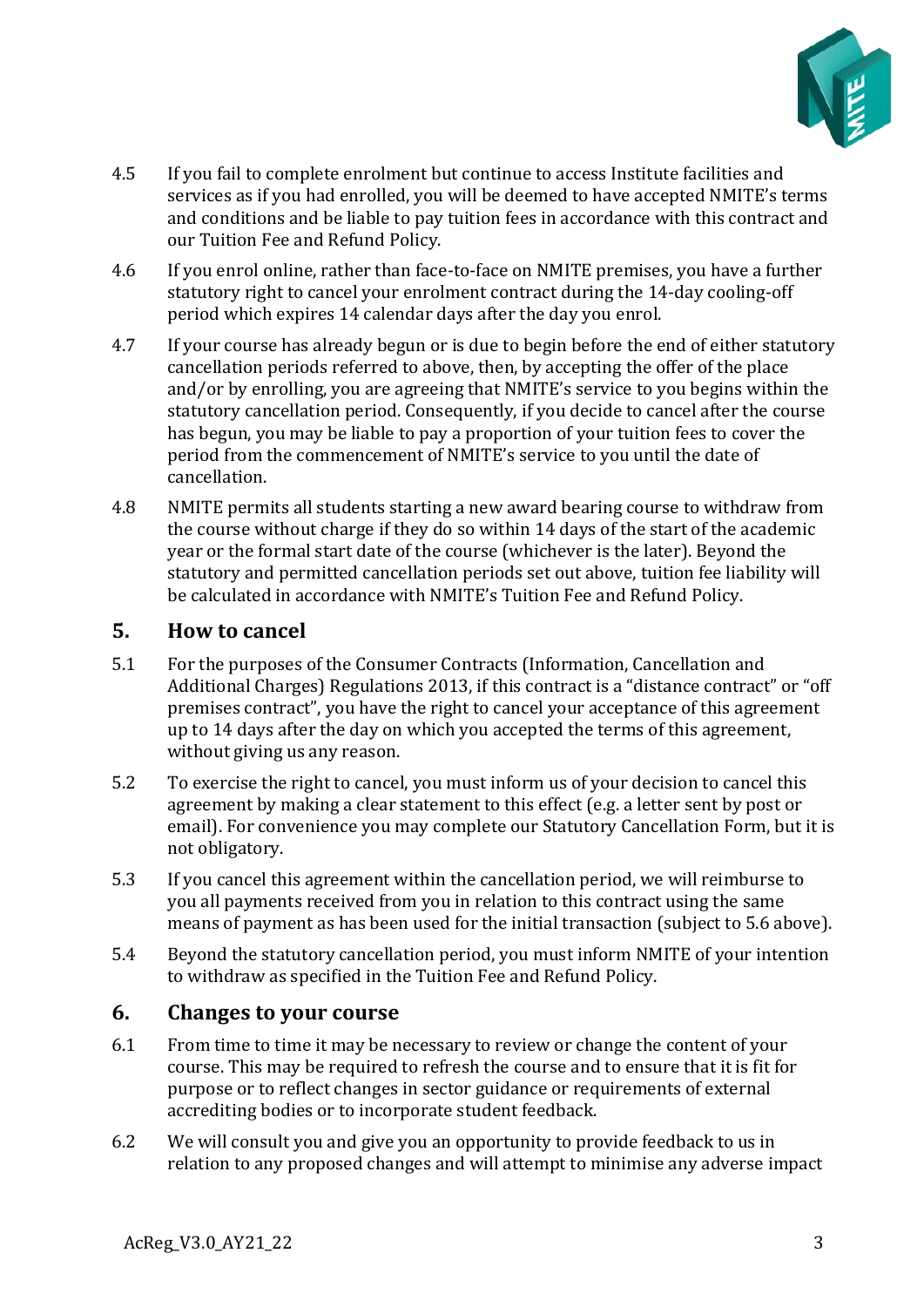

- 4.5 If you fail to complete enrolment but continue to access Institute facilities and services as if you had enrolled, you will be deemed to have accepted NMITE's terms and conditions and be liable to pay tuition fees in accordance with this contract and our Tuition Fee and Refund Policy.
- 4.6 If you enrol online, rather than face-to-face on NMITE premises, you have a further statutory right to cancel your enrolment contract during the 14-day cooling-off period which expires 14 calendar days after the day you enrol.
- 4.7 If your course has already begun or is due to begin before the end of either statutory cancellation periods referred to above, then, by accepting the offer of the place and/or by enrolling, you are agreeing that NMITE's service to you begins within the statutory cancellation period. Consequently, if you decide to cancel after the course has begun, you may be liable to pay a proportion of your tuition fees to cover the period from the commencement of NMITE's service to you until the date of cancellation.
- 4.8 NMITE permits all students starting a new award bearing course to withdraw from the course without charge if they do so within 14 days of the start of the academic year or the formal start date of the course (whichever is the later). Beyond the statutory and permitted cancellation periods set out above, tuition fee liability will be calculated in accordance with NMITE's Tuition Fee and Refund Policy.

#### <span id="page-2-0"></span>**5. How to cancel**

- 5.1 For the purposes of the Consumer Contracts (Information, Cancellation and Additional Charges) Regulations 2013, if this contract is a "distance contract" or "off premises contract", you have the right to cancel your acceptance of this agreement up to 14 days after the day on which you accepted the terms of this agreement, without giving us any reason.
- 5.2 To exercise the right to cancel, you must inform us of your decision to cancel this agreement by making a clear statement to this effect (e.g. a letter sent by post or email). For convenience you may complete our Statutory Cancellation Form, but it is not obligatory.
- 5.3 If you cancel this agreement within the cancellation period, we will reimburse to you all payments received from you in relation to this contract using the same means of payment as has been used for the initial transaction (subject to 5.6 above).
- 5.4 Beyond the statutory cancellation period, you must inform NMITE of your intention to withdraw as specified in the Tuition Fee and Refund Policy.

#### <span id="page-2-1"></span>**6. Changes to your course**

- 6.1 From time to time it may be necessary to review or change the content of your course. This may be required to refresh the course and to ensure that it is fit for purpose or to reflect changes in sector guidance or requirements of external accrediting bodies or to incorporate student feedback.
- 6.2 We will consult you and give you an opportunity to provide feedback to us in relation to any proposed changes and will attempt to minimise any adverse impact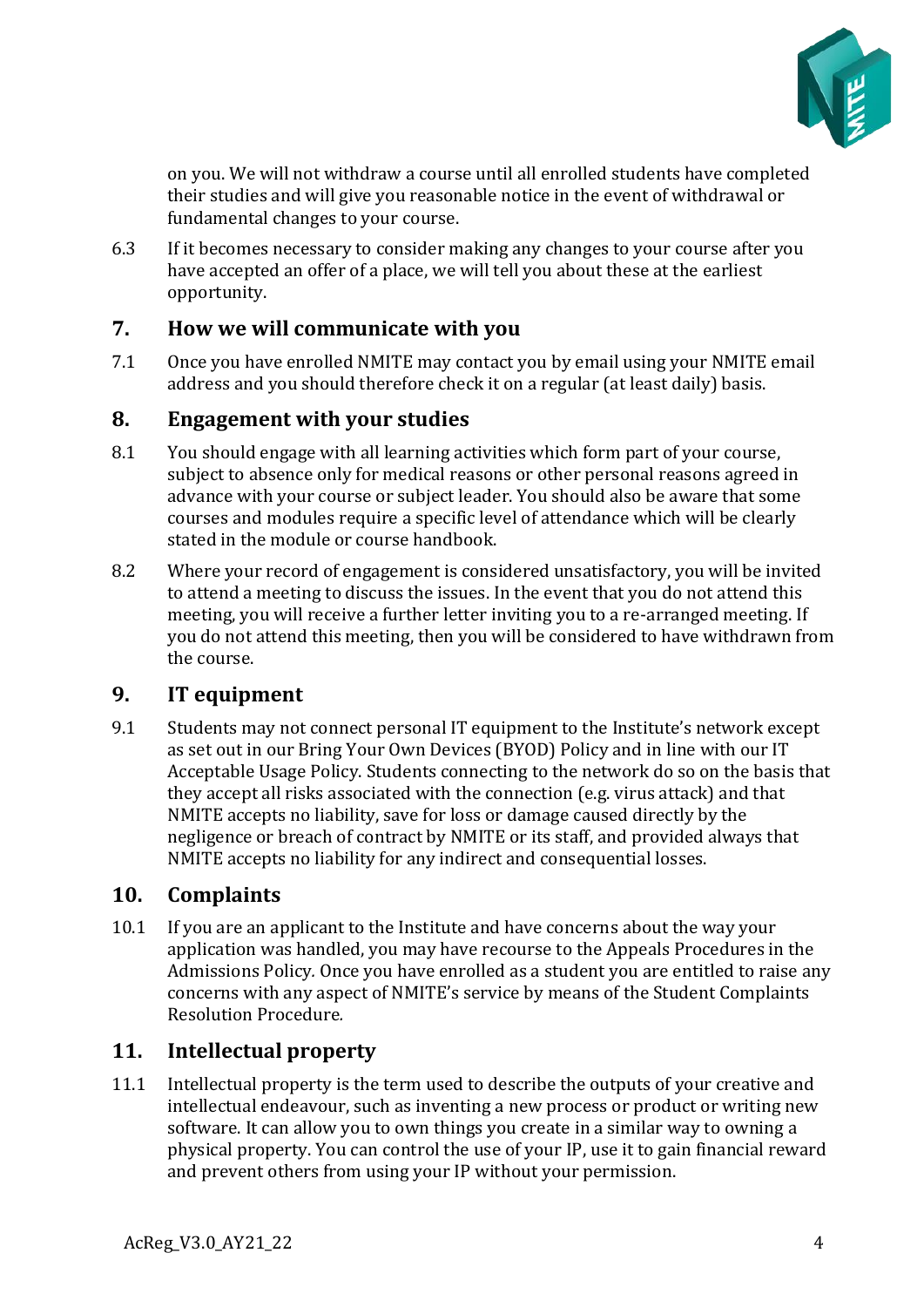

on you. We will not withdraw a course until all enrolled students have completed their studies and will give you reasonable notice in the event of withdrawal or fundamental changes to your course.

6.3 If it becomes necessary to consider making any changes to your course after you have accepted an offer of a place, we will tell you about these at the earliest opportunity.

## <span id="page-3-0"></span>**7. How we will communicate with you**

7.1 Once you have enrolled NMITE may contact you by email using your NMITE email address and you should therefore check it on a regular (at least daily) basis.

## <span id="page-3-1"></span>**8. Engagement with your studies**

- 8.1 You should engage with all learning activities which form part of your course, subject to absence only for medical reasons or other personal reasons agreed in advance with your course or subject leader. You should also be aware that some courses and modules require a specific level of attendance which will be clearly stated in the module or course handbook.
- 8.2 Where your record of engagement is considered unsatisfactory, you will be invited to attend a meeting to discuss the issues. In the event that you do not attend this meeting, you will receive a further letter inviting you to a re-arranged meeting. If you do not attend this meeting, then you will be considered to have withdrawn from the course.

## <span id="page-3-2"></span>**9. IT equipment**

9.1 Students may not connect personal IT equipment to the Institute's network except as set out in our Bring Your Own Devices (BYOD) Policy and in line with our IT Acceptable Usage Policy. Students connecting to the network do so on the basis that they accept all risks associated with the connection (e.g. virus attack) and that NMITE accepts no liability, save for loss or damage caused directly by the negligence or breach of contract by NMITE or its staff, and provided always that NMITE accepts no liability for any indirect and consequential losses.

## <span id="page-3-3"></span>**10. Complaints**

10.1 If you are an applicant to the Institute and have concerns about the way your application was handled, you may have recourse to the Appeals Procedures in the Admissions Policy*.* Once you have enrolled as a student you are entitled to raise any concerns with any aspect of NMITE's service by means of the Student Complaints Resolution Procedure*.*

## <span id="page-3-4"></span>**11. Intellectual property**

11.1 Intellectual property is the term used to describe the outputs of your creative and intellectual endeavour, such as inventing a new process or product or writing new software. It can allow you to own things you create in a similar way to owning a physical property. You can control the use of your IP, use it to gain financial reward and prevent others from using your IP without your permission.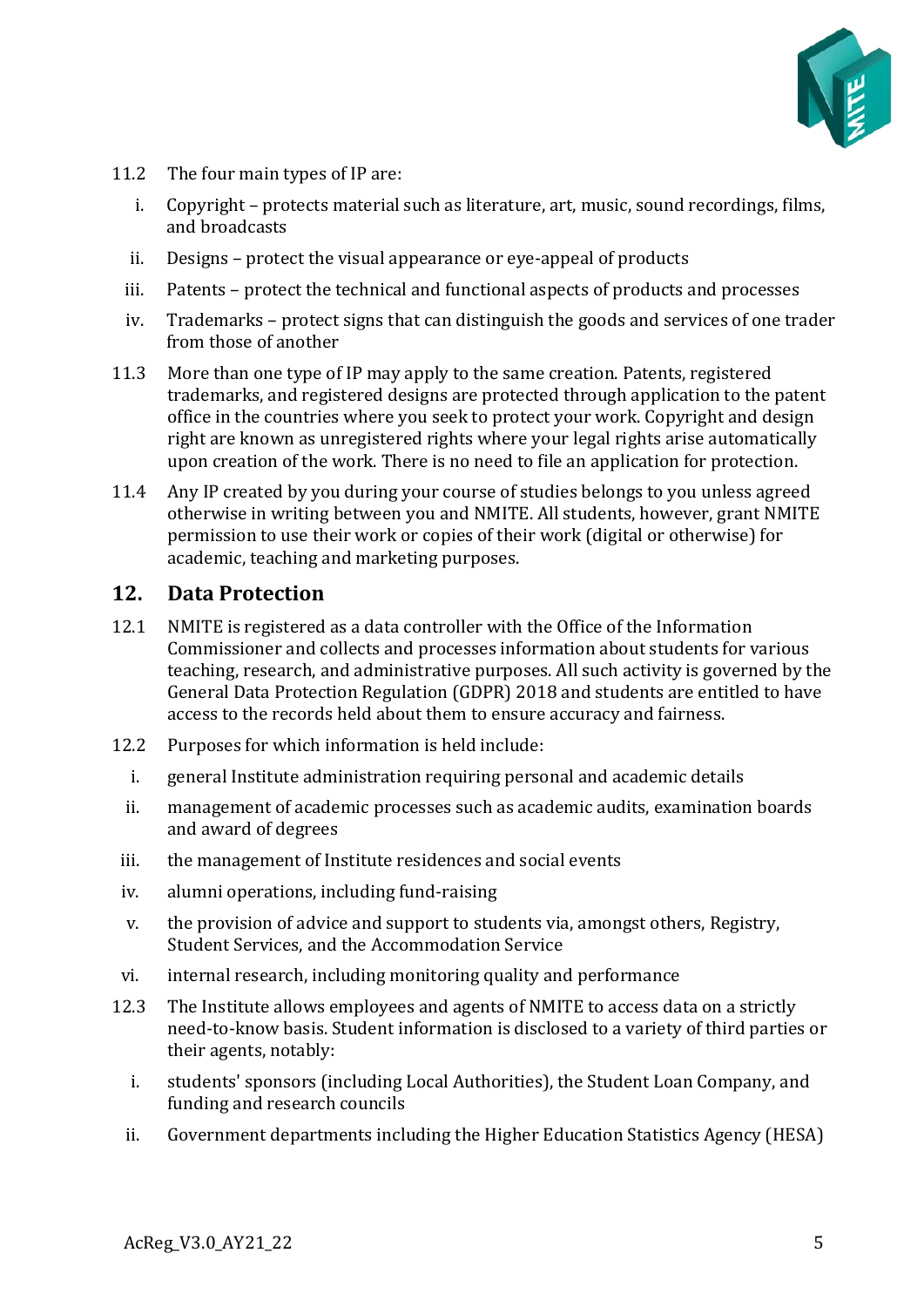

- 11.2 The four main types of IP are:
	- i. Copyright protects material such as literature, art, music, sound recordings, films, and broadcasts
	- ii. Designs protect the visual appearance or eye-appeal of products
	- iii. Patents protect the technical and functional aspects of products and processes
	- iv. Trademarks protect signs that can distinguish the goods and services of one trader from those of another
- 11.3 More than one type of IP may apply to the same creation. Patents, registered trademarks, and registered designs are protected through application to the patent office in the countries where you seek to protect your work. Copyright and design right are known as unregistered rights where your legal rights arise automatically upon creation of the work. There is no need to file an application for protection.
- 11.4 Any IP created by you during your course of studies belongs to you unless agreed otherwise in writing between you and NMITE. All students, however, grant NMITE permission to use their work or copies of their work (digital or otherwise) for academic, teaching and marketing purposes.

#### <span id="page-4-0"></span>**12. Data Protection**

- 12.1 NMITE is registered as a data controller with the Office of the Information Commissioner and collects and processes information about students for various teaching, research, and administrative purposes. All such activity is governed by the General Data Protection Regulation (GDPR) 2018 and students are entitled to have access to the records held about them to ensure accuracy and fairness.
- 12.2 Purposes for which information is held include:
	- i. general Institute administration requiring personal and academic details
	- ii. management of academic processes such as academic audits, examination boards and award of degrees
- iii. the management of Institute residences and social events
- iv. alumni operations, including fund-raising
- v. the provision of advice and support to students via, amongst others, Registry, Student Services, and the Accommodation Service
- vi. internal research, including monitoring quality and performance
- 12.3 The Institute allows employees and agents of NMITE to access data on a strictly need-to-know basis. Student information is disclosed to a variety of third parties or their agents, notably:
	- i. students' sponsors (including Local Authorities), the Student Loan Company, and funding and research councils
	- ii. Government departments including the Higher Education Statistics Agency (HESA)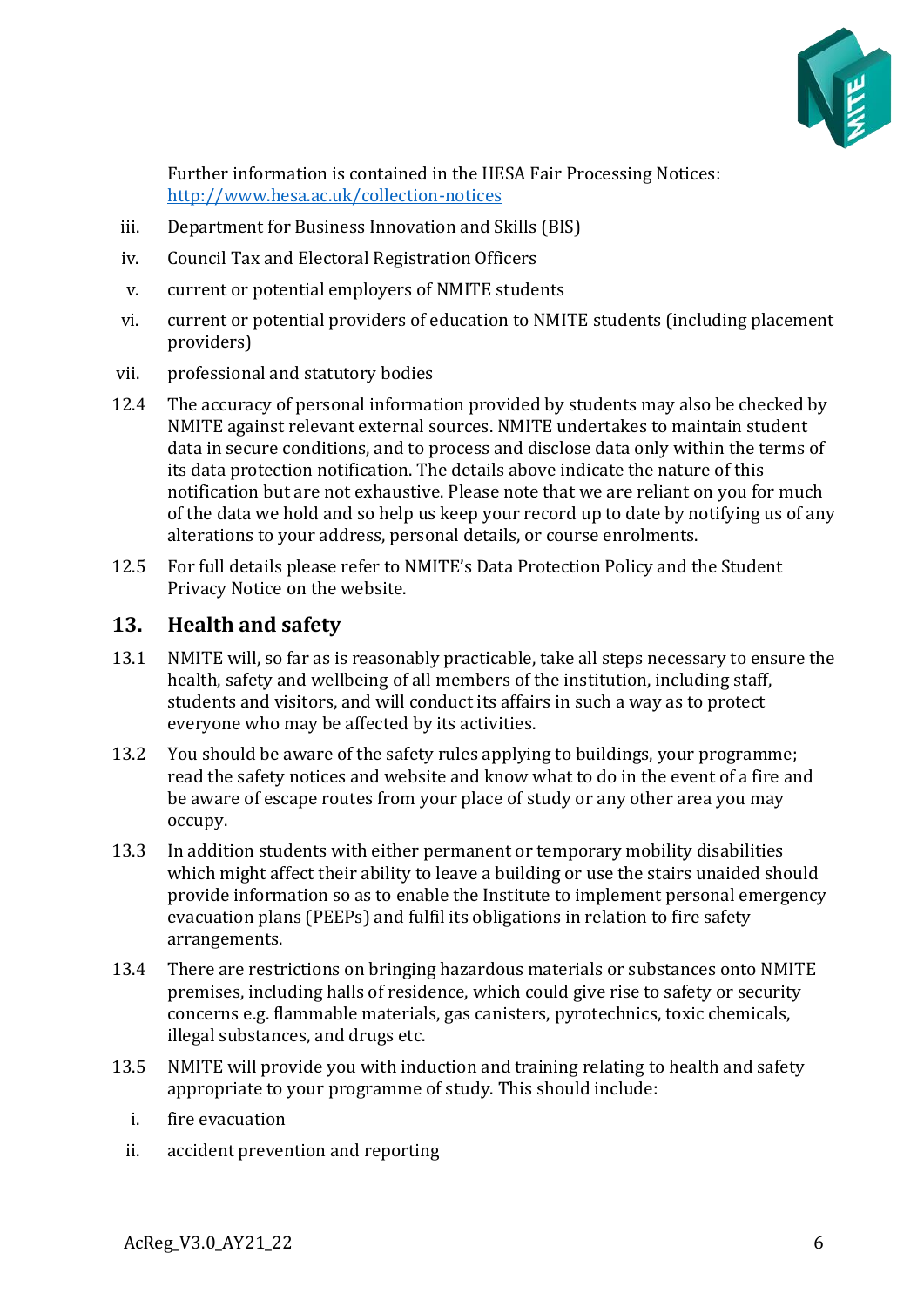

Further information is contained in the HESA Fair Processing Notices: <http://www.hesa.ac.uk/collection-notices>

- iii. Department for Business Innovation and Skills (BIS)
- iv. Council Tax and Electoral Registration Officers
- v. current or potential employers of NMITE students
- vi. current or potential providers of education to NMITE students (including placement providers)
- vii. professional and statutory bodies
- 12.4 The accuracy of personal information provided by students may also be checked by NMITE against relevant external sources. NMITE undertakes to maintain student data in secure conditions, and to process and disclose data only within the terms of its data protection notification. The details above indicate the nature of this notification but are not exhaustive. Please note that we are reliant on you for much of the data we hold and so help us keep your record up to date by notifying us of any alterations to your address, personal details, or course enrolments.
- 12.5 For full details please refer to NMITE's Data Protection Policy and the Student Privacy Notice on the website.

#### <span id="page-5-0"></span>**13. Health and safety**

- 13.1 NMITE will, so far as is reasonably practicable, take all steps necessary to ensure the health, safety and wellbeing of all members of the institution, including staff, students and visitors, and will conduct its affairs in such a way as to protect everyone who may be affected by its activities.
- 13.2 You should be aware of the safety rules applying to buildings, your programme; read the safety notices and website and know what to do in the event of a fire and be aware of escape routes from your place of study or any other area you may occupy.
- 13.3 In addition students with either permanent or temporary mobility disabilities which might affect their ability to leave a building or use the stairs unaided should provide information so as to enable the Institute to implement personal emergency evacuation plans (PEEPs) and fulfil its obligations in relation to fire safety arrangements.
- 13.4 There are restrictions on bringing hazardous materials or substances onto NMITE premises, including halls of residence, which could give rise to safety or security concerns e.g. flammable materials, gas canisters, pyrotechnics, toxic chemicals, illegal substances, and drugs etc.
- 13.5 NMITE will provide you with induction and training relating to health and safety appropriate to your programme of study. This should include:
	- i. fire evacuation
	- ii. accident prevention and reporting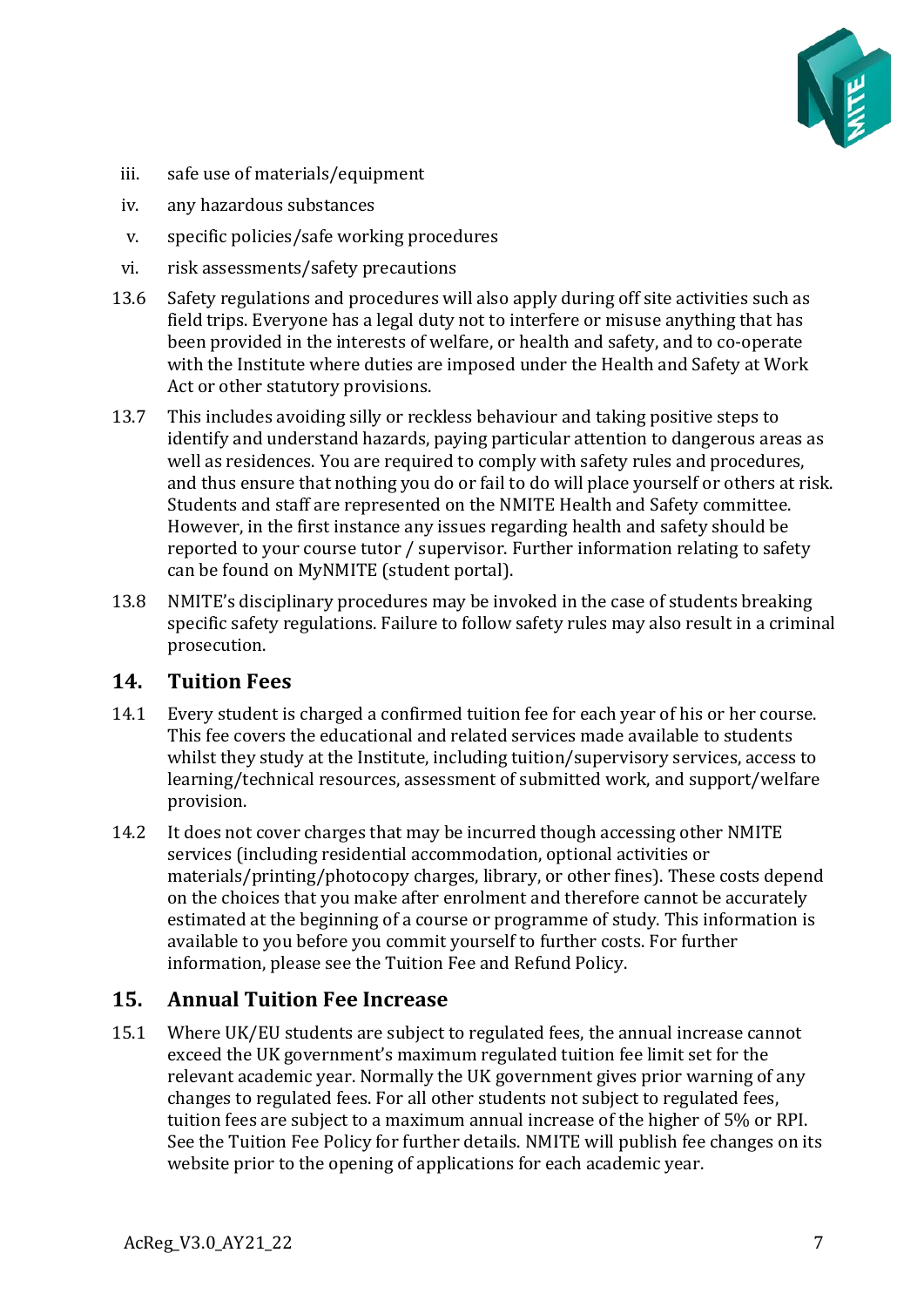

- iii. safe use of materials/equipment
- iv. any hazardous substances
- v. specific policies/safe working procedures
- vi. risk assessments/safety precautions
- 13.6 Safety regulations and procedures will also apply during off site activities such as field trips. Everyone has a legal duty not to interfere or misuse anything that has been provided in the interests of welfare, or health and safety, and to co-operate with the Institute where duties are imposed under the Health and Safety at Work Act or other statutory provisions.
- 13.7 This includes avoiding silly or reckless behaviour and taking positive steps to identify and understand hazards, paying particular attention to dangerous areas as well as residences. You are required to comply with safety rules and procedures, and thus ensure that nothing you do or fail to do will place yourself or others at risk. Students and staff are represented on the NMITE Health and Safety committee. However, in the first instance any issues regarding health and safety should be reported to your course tutor / supervisor. Further information relating to safety can be found on MyNMITE (student portal).
- 13.8 NMITE's disciplinary procedures may be invoked in the case of students breaking specific safety regulations. Failure to follow safety rules may also result in a criminal prosecution.

#### <span id="page-6-0"></span>**14. Tuition Fees**

- 14.1 Every student is charged a confirmed tuition fee for each year of his or her course. This fee covers the educational and related services made available to students whilst they study at the Institute, including tuition/supervisory services, access to learning/technical resources, assessment of submitted work, and support/welfare provision.
- 14.2 It does not cover charges that may be incurred though accessing other NMITE services (including residential accommodation, optional activities or materials/printing/photocopy charges, library, or other fines). These costs depend on the choices that you make after enrolment and therefore cannot be accurately estimated at the beginning of a course or programme of study. This information is available to you before you commit yourself to further costs. For further information, please see the Tuition Fee and Refund Policy.

## <span id="page-6-1"></span>**15. Annual Tuition Fee Increase**

15.1 Where UK/EU students are subject to regulated fees, the annual increase cannot exceed the UK government's maximum regulated tuition fee limit set for the relevant academic year. Normally the UK government gives prior warning of any changes to regulated fees. For all other students not subject to regulated fees, tuition fees are subject to a maximum annual increase of the higher of 5% or RPI. See the Tuition Fee Policy for further details. NMITE will publish fee changes on its website prior to the opening of applications for each academic year.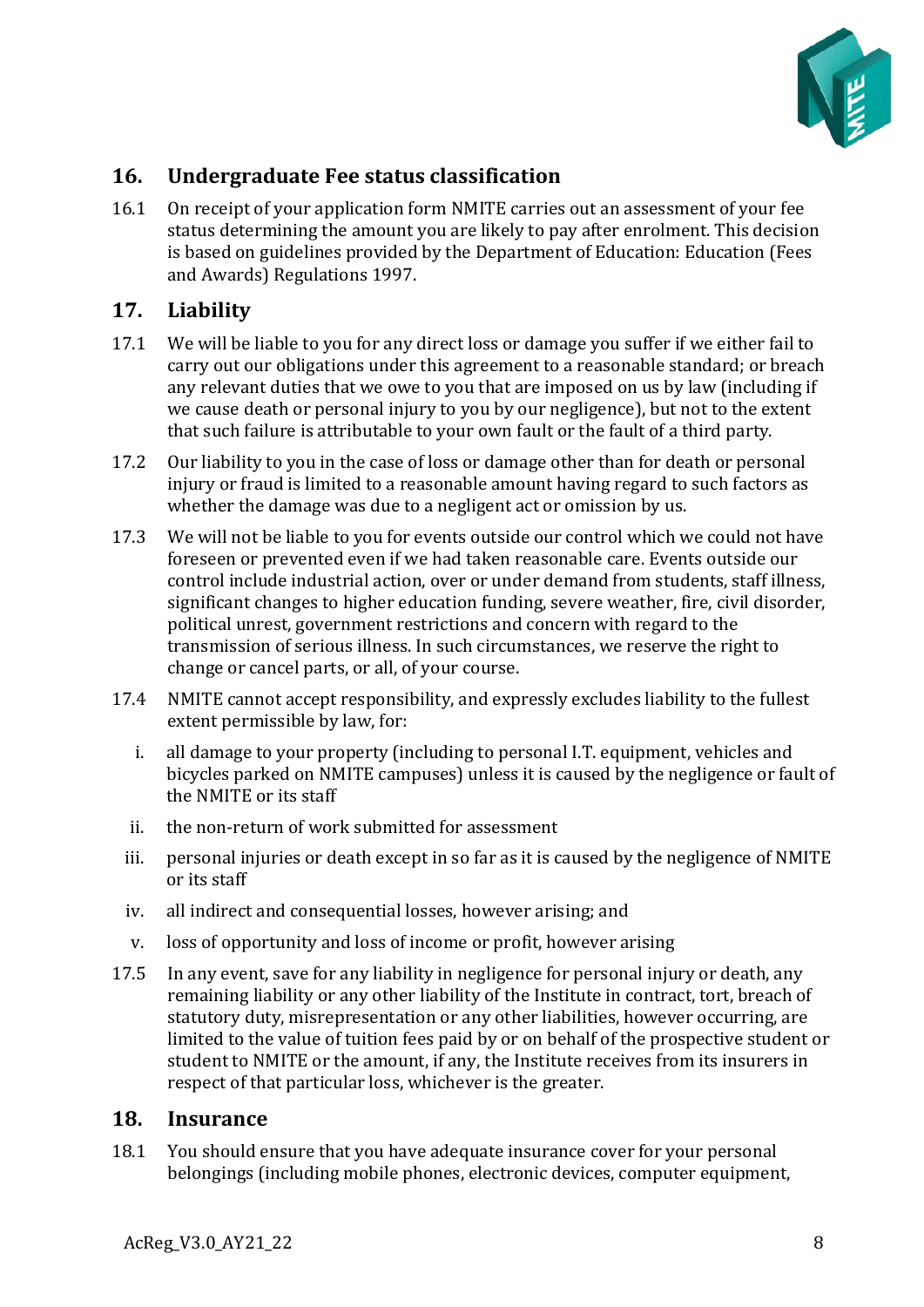

## <span id="page-7-0"></span>**16. Undergraduate Fee status classification**

16.1 On receipt of your application form NMITE carries out an assessment of your fee status determining the amount you are likely to pay after enrolment. This decision is based on guidelines provided by the Department of Education: Education (Fees and Awards) Regulations 1997.

#### <span id="page-7-1"></span>**17. Liability**

- 17.1 We will be liable to you for any direct loss or damage you suffer if we either fail to carry out our obligations under this agreement to a reasonable standard; or breach any relevant duties that we owe to you that are imposed on us by law (including if we cause death or personal injury to you by our negligence), but not to the extent that such failure is attributable to your own fault or the fault of a third party.
- 17.2 Our liability to you in the case of loss or damage other than for death or personal injury or fraud is limited to a reasonable amount having regard to such factors as whether the damage was due to a negligent act or omission by us.
- 17.3 We will not be liable to you for events outside our control which we could not have foreseen or prevented even if we had taken reasonable care. Events outside our control include industrial action, over or under demand from students, staff illness, significant changes to higher education funding, severe weather, fire, civil disorder, political unrest, government restrictions and concern with regard to the transmission of serious illness. In such circumstances, we reserve the right to change or cancel parts, or all, of your course.
- 17.4 NMITE cannot accept responsibility, and expressly excludes liability to the fullest extent permissible by law, for:
	- i. all damage to your property (including to personal I.T. equipment, vehicles and bicycles parked on NMITE campuses) unless it is caused by the negligence or fault of the NMITE or its staff
	- ii. the non-return of work submitted for assessment
	- iii. personal injuries or death except in so far as it is caused by the negligence of NMITE or its staff
	- iv. all indirect and consequential losses, however arising; and
	- v. loss of opportunity and loss of income or profit, however arising
- 17.5 In any event, save for any liability in negligence for personal injury or death, any remaining liability or any other liability of the Institute in contract, tort, breach of statutory duty, misrepresentation or any other liabilities, however occurring, are limited to the value of tuition fees paid by or on behalf of the prospective student or student to NMITE or the amount, if any, the Institute receives from its insurers in respect of that particular loss, whichever is the greater.

#### <span id="page-7-2"></span>**18. Insurance**

18.1 You should ensure that you have adequate insurance cover for your personal belongings (including mobile phones, electronic devices, computer equipment,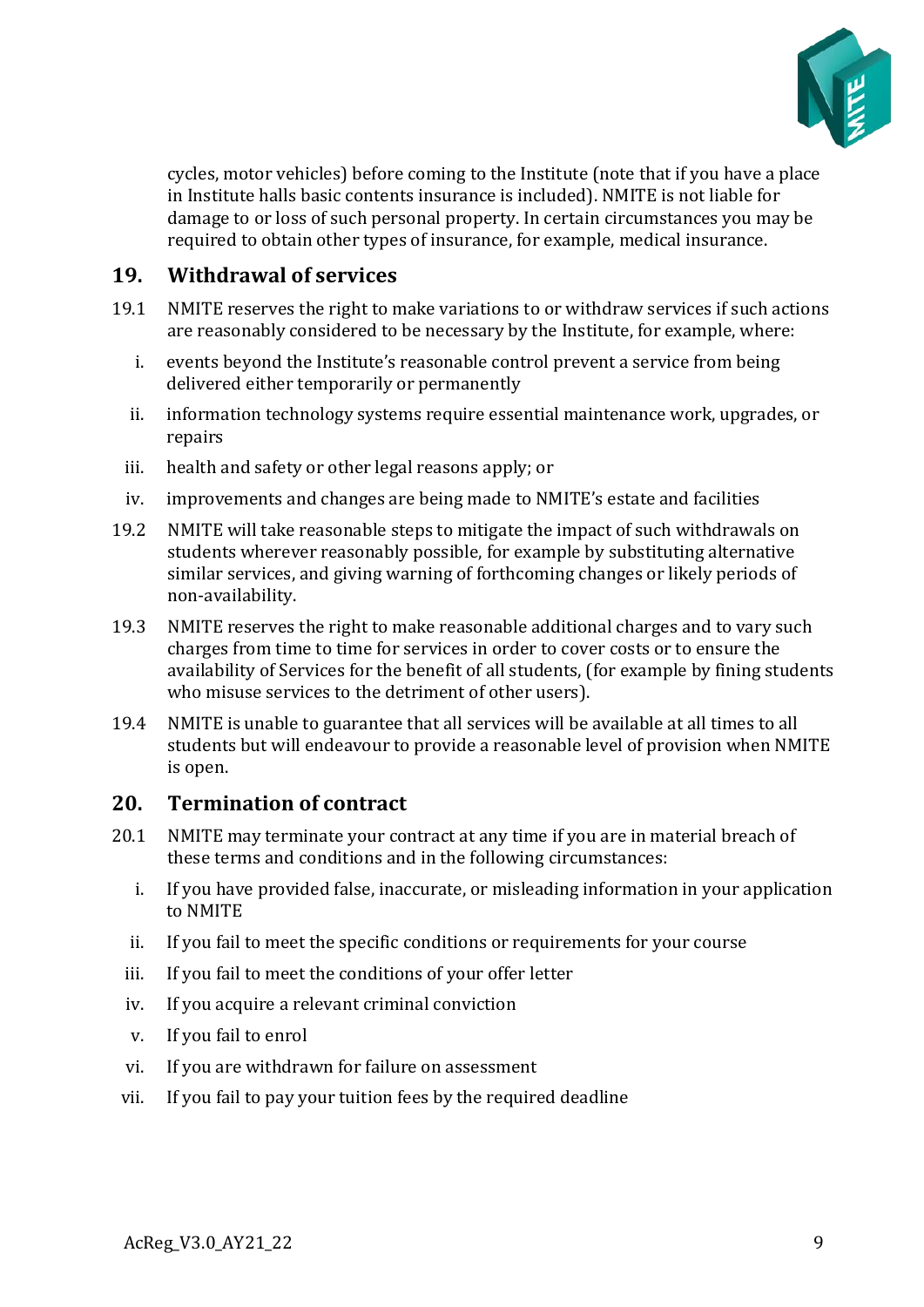

cycles, motor vehicles) before coming to the Institute (note that if you have a place in Institute halls basic contents insurance is included). NMITE is not liable for damage to or loss of such personal property. In certain circumstances you may be required to obtain other types of insurance, for example, medical insurance.

#### <span id="page-8-0"></span>**19. Withdrawal of services**

- 19.1 NMITE reserves the right to make variations to or withdraw services if such actions are reasonably considered to be necessary by the Institute, for example, where:
	- i. events beyond the Institute's reasonable control prevent a service from being delivered either temporarily or permanently
	- ii. information technology systems require essential maintenance work, upgrades, or repairs
	- iii. health and safety or other legal reasons apply; or
	- iv. improvements and changes are being made to NMITE's estate and facilities
- 19.2 NMITE will take reasonable steps to mitigate the impact of such withdrawals on students wherever reasonably possible, for example by substituting alternative similar services, and giving warning of forthcoming changes or likely periods of non-availability.
- 19.3 NMITE reserves the right to make reasonable additional charges and to vary such charges from time to time for services in order to cover costs or to ensure the availability of Services for the benefit of all students, (for example by fining students who misuse services to the detriment of other users).
- 19.4 NMITE is unable to guarantee that all services will be available at all times to all students but will endeavour to provide a reasonable level of provision when NMITE is open.

#### <span id="page-8-1"></span>**20. Termination of contract**

- 20.1 NMITE may terminate your contract at any time if you are in material breach of these terms and conditions and in the following circumstances:
	- i. If you have provided false, inaccurate, or misleading information in your application to NMITE
	- ii. If you fail to meet the specific conditions or requirements for your course
	- iii. If you fail to meet the conditions of your offer letter
	- iv. If you acquire a relevant criminal conviction
	- v. If you fail to enrol
	- vi. If you are withdrawn for failure on assessment
	- vii. If you fail to pay your tuition fees by the required deadline